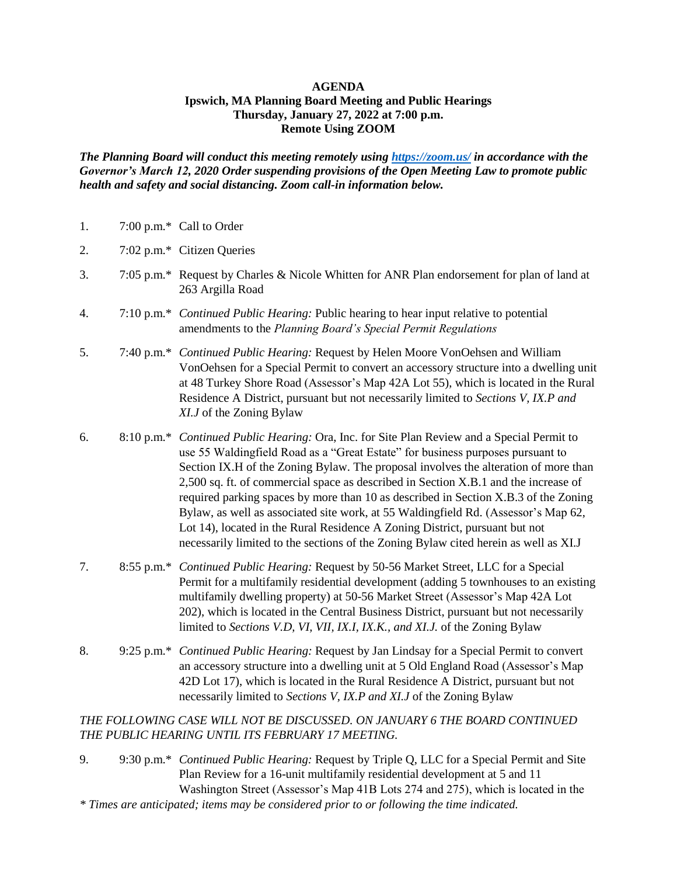## **AGENDA Ipswich, MA Planning Board Meeting and Public Hearings Thursday, January 27, 2022 at 7:00 p.m. Remote Using ZOOM**

*The Planning Board will conduct this meeting remotely using<https://zoom.us/> in accordance with the Governor's March 12, 2020 Order suspending provisions of the Open Meeting Law to promote public health and safety and social distancing. Zoom call-in information below.*

| 1. | 7:00 p.m.* Call to Order |  |
|----|--------------------------|--|
|    |                          |  |

- 2. 7:02 p.m.\* Citizen Queries
- 3. 7:05 p.m.\* Request by Charles & Nicole Whitten for ANR Plan endorsement for plan of land at 263 Argilla Road
- 4. 7:10 p.m.\* *Continued Public Hearing:* Public hearing to hear input relative to potential amendments to the *Planning Board's Special Permit Regulations*
- 5. 7:40 p.m.\* *Continued Public Hearing:* Request by Helen Moore VonOehsen and William VonOehsen for a Special Permit to convert an accessory structure into a dwelling unit at 48 Turkey Shore Road (Assessor's Map 42A Lot 55), which is located in the Rural Residence A District, pursuant but not necessarily limited to *Sections V, IX.P and XI.J* of the Zoning Bylaw
- 6. 8:10 p.m.\* *Continued Public Hearing:* Ora, Inc. for Site Plan Review and a Special Permit to use 55 Waldingfield Road as a "Great Estate" for business purposes pursuant to Section IX.H of the Zoning Bylaw. The proposal involves the alteration of more than 2,500 sq. ft. of commercial space as described in Section X.B.1 and the increase of required parking spaces by more than 10 as described in Section X.B.3 of the Zoning Bylaw, as well as associated site work, at 55 Waldingfield Rd. (Assessor's Map 62, Lot 14), located in the Rural Residence A Zoning District, pursuant but not necessarily limited to the sections of the Zoning Bylaw cited herein as well as XI.J
- 7. 8:55 p.m.\* *Continued Public Hearing:* Request by 50-56 Market Street, LLC for a Special Permit for a multifamily residential development (adding 5 townhouses to an existing multifamily dwelling property) at 50-56 Market Street (Assessor's Map 42A Lot 202), which is located in the Central Business District, pursuant but not necessarily limited to *Sections V.D, VI, VII, IX.I, IX.K., and XI.J.* of the Zoning Bylaw
- 8. 9:25 p.m.\* *Continued Public Hearing:* Request by Jan Lindsay for a Special Permit to convert an accessory structure into a dwelling unit at 5 Old England Road (Assessor's Map 42D Lot 17), which is located in the Rural Residence A District, pursuant but not necessarily limited to *Sections V, IX.P and XI.J* of the Zoning Bylaw

*THE FOLLOWING CASE WILL NOT BE DISCUSSED. ON JANUARY 6 THE BOARD CONTINUED THE PUBLIC HEARING UNTIL ITS FEBRUARY 17 MEETING.*

- 9. 9:30 p.m.\* *Continued Public Hearing:* Request by Triple Q, LLC for a Special Permit and Site Plan Review for a 16-unit multifamily residential development at 5 and 11 Washington Street (Assessor's Map 41B Lots 274 and 275), which is located in the
- *\* Times are anticipated; items may be considered prior to or following the time indicated.*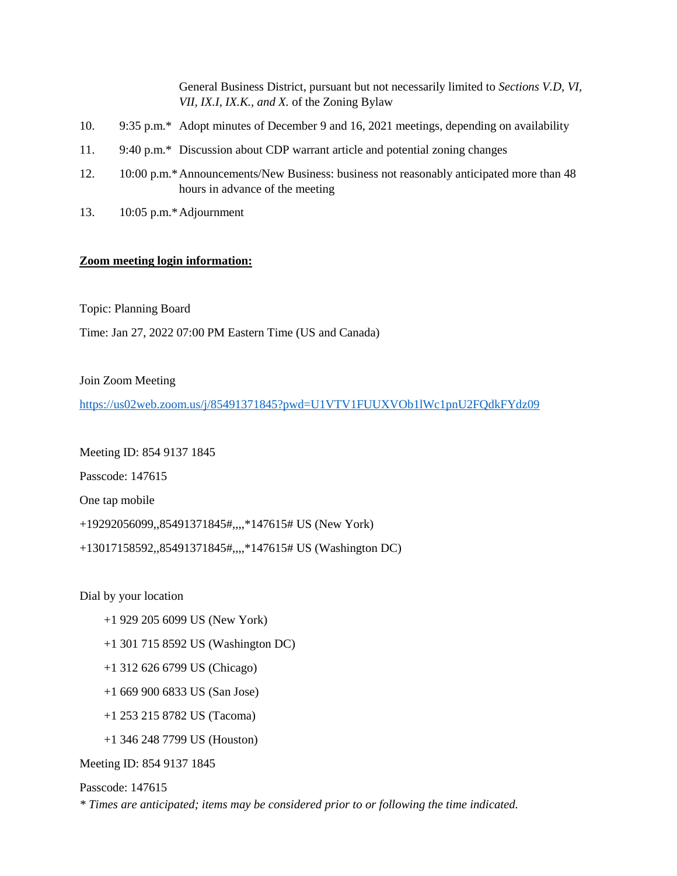General Business District, pursuant but not necessarily limited to *Sections V.D, VI, VII, IX.I, IX.K., and X.* of the Zoning Bylaw

- 10. 9:35 p.m.\* Adopt minutes of December 9 and 16, 2021 meetings, depending on availability
- 11. 9:40 p.m.\* Discussion about CDP warrant article and potential zoning changes
- 12. 10:00 p.m.\*Announcements/New Business: business not reasonably anticipated more than 48 hours in advance of the meeting
- 13. 10:05 p.m.\*Adjournment

## **Zoom meeting login information:**

Topic: Planning Board

Time: Jan 27, 2022 07:00 PM Eastern Time (US and Canada)

Join Zoom Meeting

<https://us02web.zoom.us/j/85491371845?pwd=U1VTV1FUUXVOb1lWc1pnU2FQdkFYdz09>

Meeting ID: 854 9137 1845

Passcode: 147615

One tap mobile

+19292056099,,85491371845#,,,,\*147615# US (New York)

+13017158592,,85491371845#,,,,\*147615# US (Washington DC)

Dial by your location

- +1 929 205 6099 US (New York)
- +1 301 715 8592 US (Washington DC)
- +1 312 626 6799 US (Chicago)
- +1 669 900 6833 US (San Jose)
- +1 253 215 8782 US (Tacoma)
- +1 346 248 7799 US (Houston)

Meeting ID: 854 9137 1845

## Passcode: 147615

*\* Times are anticipated; items may be considered prior to or following the time indicated.*